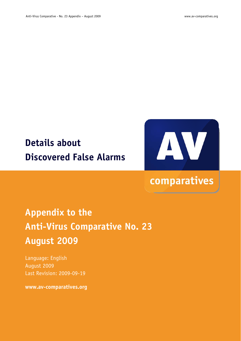# **Details about Discovered False Alarms**



# comparatives

# **Appendix to the Anti-Virus Comparative No. 23 August 2009**

Language: English August 2009 Last Revision: 2009-09-19

**www.av-comparatives.org**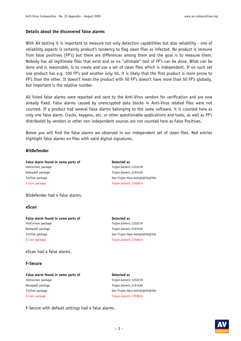#### **Details about the discovered false alarms**

With AV testing it is important to measure not only detection capabilities but also reliability - one of reliability aspects is certainly product's tendency to flag clean files as infected. No product is immune from false positives (FP's) but there are differences among them and the goal is to measure them. Nobody has all legitimate files that exist and so no "ultimate" test of FP's can be done. What can be done and is reasonable, is to create and use a set of clean files which is independent. If on such set one product has e.g. 100 FP's and another only 50, it is likely that the first product is more prone to FP's than the other. It doesn't mean the product with 50 FP's doesn't have more than 50 FP's globally, but important is the relative number.

All listed false alarms were reported and sent to the Anti-Virus vendors for verification and are now already fixed. False alarms caused by unencrypted data blocks in Anti-Virus related files were not counted. If a product had several false alarms belonging to the same software, it is counted here as only one false alarm. Cracks, keygens, etc. or other questionable applications and tools, as well as FP's distributed by vendors or other non independent sources are not counted here as False Positives.

Below you will find the false alarms we observed in our independent set of clean files. Red entries highlight false alarms on files with valid digital signatures.

#### **BitDefender**

False alarm found in some parts of **Detected as** HotCorners package Trojan.Generic.1232219 Notepad2 package Trojan.Generic.2191426 TorChat package Gen:Trojan.Heur.km5@@hk@5Ve z-Cron package Trojan.Generic.1760814

Bitdefender had 4 false alarms.

#### **eScan**

False alarm found in some parts of **Detected as** HotCorners package Trojan.Generic.1232219 Notepad2 package Trojan.Generic.2191426 TorChat package Gen:Trojan.Heur.km5@@hk@5Ve Z-Cron package Trojan.Generic.1760814

eScan had 4 false alarms.

#### **F-Secure**

False alarm found in some parts of **Detected as** HotCorners package Trojan.Generic.1232219 Notepad2 package Trojan.Generic.2191426 TorChat package General According to the General Gen:Trojan.Heur.km5@@hk@5Ve Z-Cron package Trojan.Generic.1760814

F-Secure with default settings had 4 false alarms.

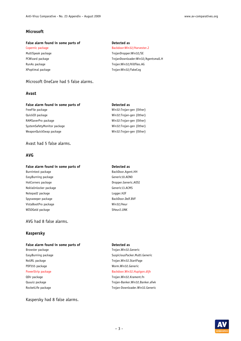### **Microsoft**

#### False alarm found in some parts of **Detected** as

XPoptimal package Trojan:Win32/FakeCog

### Microsoft OneCare had 5 false alarms.

#### **Avast**

### False alarm found in some parts of **Detected as**

FreeFile package Win32:Trojan-gen {Other} QuickID package and the control of the Win32:Trojan-gen {Other} RAMSaverPro package Win32:Trojan-gen {Other} SystemSafetyMonitor package Win32:Trojan-gen {Other} WeaponQuickSwap package Win32:Trojan-gen {Other}

#### Avast had 5 false alarms.

### **AVG**

#### False alarm found in some parts of **Detected as**

Burnintest package and a state of the BackDoor.Agent.HH EasyBurning package Generic10.AENO HotCorners package details and the Dropper.Generic.AOSI NokiaUnlocker package Generic13.ACMS Notepad2 package Logger.HJF Spysweeper package and a state BackDoor.Delf.BVF VistaBootPro package Win32/Heur WISOGeld package SHeur2.UNK

### AVG had 8 false alarms.

### **Kaspersky**

#### False alarm found in some parts of **Detected as**

PDF555 package Worm.Win32.Generic

RocketLife package Trojan-Downloader.Win32.Generic

#### Kaspersky had 8 false alarms.

Copernic package and a state backdoor: Win32/Harvester.J MultiSpeak package TrojanDropper: Win32/SE PCWizard package TrojanDownloader:Win32/Agentsmall.H RunAs package Trojan: Win32/Killfiles.AG

- 
- 

## Browster package Trojan.Win32.Generic EasyBurning package SuspiciousPacker.Multi.Generic NoURL package Trojan.Win32.StartPage PowerStrip package and a strategies between the Backdoor.Win32.Hupigon.dijh QDir package Trojan.Win32.Krament.fn Quuuiz package Trojan-Banker.Win32.Banker.afwk

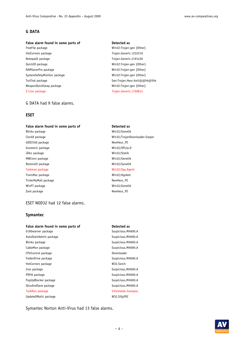### **G DATA**

#### False alarm found in some parts of **Detected** as

HotCorners package Trojan.Generic.1232219 Notepad2 package Trojan.Generic.2191426 QuickID package **Win32:Trojan-gen** {Other} RAMSaverPro package Win32:Trojan-gen {Other} SystemSafetyMonitor package Win32:Trojan-gen {Other} WeaponQuickSwap package Win32:Trojan-gen {Other} Z-Cron package Trojan.Generic.1760814

#### G DATA had 9 false alarms.

#### **ESET**

#### False alarm found in some parts of **Detected as**

GDSChild package NewHeur\_PE Gnumeric package Win32/Oficla.D iZArc package Win32/Statik MWConn package and the Min32/Genetik RestoreIt package Win32/Genetik Taskman package Win32/Spy.Agent TransMac package TransMac package Win32/Agobot TickerMyMail package NewHeur\_PE WinPT package and the control of the Win32/Genetik Zoot package NewHeur\_PE

#### ESET NOD32 had 12 false alarms.

#### **Symantec**

#### False alarm found in some parts of **Detected as**

0190warner package Suspicious.MH690.A AutoStartAdmin package and states and suspicious.MH690.A Blinkx package Suspicious.MH690.A CableMon package CableMon package Suspicious.MH690.A CPUControl package and the control of the Downloader FolderDrive package Suspicious.MH690.A HotCorners package W32.Swich Iron package Suspicious.MH690.A PDFtk package Suspicious.MH690.A PopUpBlocker package Suspicious.MH690.A SliceAndSave package Suspicious.MH690.A TaskMan package Infostealer.Gampass UpdateOMatic package W32.SillyFDC

- FreeFile package **Win32:Trojan-gen** {Other} TorChat package Gen:Trojan.Heur.km5@@hk@5Ve
- Blinkx package Win32/Genetik ClockX package Win32/TrojanDownloader.Esepor

Symantec Norton Anti-Virus had 13 false alarms.

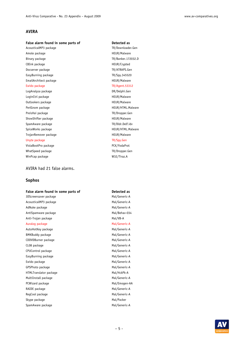### **AVIRA**

#### False alarm found in some parts of **Detected** as

Amole package **HEUR/Malware** Binary package TR/Banker.172032.D CBInk package and the control of the HEUR/Crypted Docserver package TR/ATRAPS.Gen EasyBurning package TR/Spy.345520 EmailArchitect package **HEUR/Malware** Ewido package TR/Agent.53312

LogAnalysa package data bere di terbesar para para DR/Delphi.Gen LoginCtrl package extension of the HEUR/Malware Outlookers package extensive proposed and the HEUR/Malware PerlGnom package extending the extending the HEUR/HTML.Malware PreisHai package TR/Dropper.Gen ShowShifter package **HEUR/Malware** HEUR/Malware SpamAware package TR/Dldr.Delf.idv SpiceWorks package https://www.malware.com/induction-spiceWorks package TrojanRemover package **HEUR/Malware** HEUR/Malware Unyte package TR/Spy.Gen VistaBootPro package PCK/YodaProt WhatSpeed package TR/Dropper.Gen WinPcap package W32/Tiraz.A

#### AVIRA had 21 false alarms.

#### **Sophos**

#### False alarm found in some parts of **Detected as**

3DScreensaver package Mal/Generic-A AcousticalMP3 package Mal/Generic-A AdNuke package and a strategies of the Mal/Generic-A AntiSpamware package Mal/Behav-034 Anti-Trojan package Mal/VB-A

#### Auralog package and a state of the Mal/Generic-A

AutoHotKey package Mal/Generic-A BMKBuddy package Mal/Generic-A CDDVDBurner package details and the Mal/Generic-A CL08 package Mal/Generic-A CPUControl package Mal/Generic-A EasyBurning package and the Mal/Generic-A Ewido package **Mal/Generic-A** GPSPhoto package Mal/Generic-A HTMLTranslator package Mal/HckPk-A MultiInstall package Mal/Generic-A PCWizard package and a state of the Mal/Emogen-AA RAIDE package and a metal of the Mal/Generic-A RegCool package and the matrix of the Mal/Generic-A Skype package Mal/Packer SpamAware package Mal/Generic-A

AcousticalMP3 package TR/Downloader.Gen

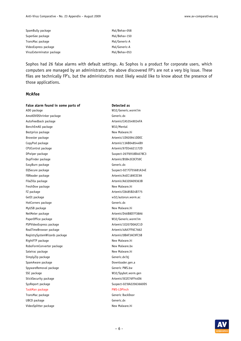| SpamBully package         | Mal/Behav-058 |
|---------------------------|---------------|
| SuperGee package          | Mal/Behav-150 |
| TransMac package          | Mal/Generic-A |
| VideoExpress package      | Mal/Generic-A |
| VirusExterminator package | Mal/Behav-053 |
|                           |               |

Sophos had 26 false alarms with default settings. As Sophos is a product for corporate users, which computers are managed by an administrator, the above discovered FP's are not a very big issue. These files are technically FP's, but the administrators most likely would like to know about the presence of those applications.

### **McAfee**

| False alarm found in some parts of | Detected as             |
|------------------------------------|-------------------------|
| ADO package                        | W32/Generic.worm!im     |
| AmoKDVDShrinker package            | Generic.dx              |
| AutoFeedback package               | Artemis!CA53549034FA    |
| BenchEmAll package                 | W32/Mental              |
| Bestprice package                  | New Malware.hi          |
| Browster package                   | Artemis!1D920941DDEC    |
| CopyPod package                    | Artemis!13AB048544B9    |
| CPUControl package                 | Artemis!97D34621172D    |
| DPwiper package                    | Suspect-26!F6918B4678C3 |
| DupFinder package                  | Artemis!B5B43C0CF59C    |
| EasyBurn package                   | Generic.dx              |
| EQSecure package                   | Suspect-02!7CF55681A34E |
| FBReader package                   | Artemis!A4EC189CEC9A    |
| FileZilla package                  | Artemis!A6320A09363B    |
| FreshDow package                   | New Malware.hi          |
| FZ package                         | Artemis!C8485B24B775    |
| GetIt package                      | w32/autorun.worm.ac     |
| HotCorners package                 | Generic.dx              |
| MyUSB package                      | New Malware.hi          |
| NetMeter package                   | Artemis!D46B8D7F38A6    |
| PaperOffice package                | W32/Generic.worm!im     |
| PSPVideoExpress package            | Artemis!1E207D0A2C1D    |
| RealTimeBrowser package            | Artemis!4AA7FF6C7662    |
| RegistrySystemWizards package      | Artemis!0BAF3AC9FC5B    |
| RightFTP package                   | New Malware.hi          |
| RoboFormConverter package          | New Malware.bx          |
| Sateirac package                   | New Malware.hi          |
| SimplyZip package                  | Generic.dx!bj           |
| SpamAware package                  | Downloader.gen.a        |
| SpywareRemoval package             | Generic PWS.bw          |
| SSC package                        | W32/Spybot.worm.gen     |
| StickSecurity package              | Artemis!5E2E76FF44D6    |
| SysReport package                  | Suspect-02!8A22063660D5 |
| TaskMan package                    | <b>PWS-LDPinch</b>      |
| TransMac package                   | Generic BackDoor        |
| UBCD package                       | Generic.dx              |
| VideoSplitter package              | New Malware.hi          |
|                                    |                         |

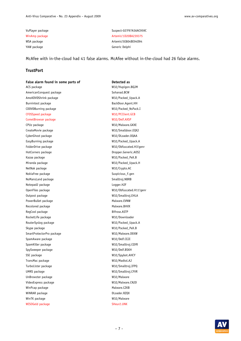YAW package **Generic Delphi** 

VuPlayer package Suspect-02!F97A36AC959C WinAmp package Artemis!1D20BA239375 WSA package and artemis!5E804BE94D94

McAfee with in-the-cloud had 41 false alarms. McAfee without in-the-cloud had 26 false alarms.

#### **TrustPort**

False alarm found in some parts of **Detected as** ACS package W32/Hupigon.BQJM AmericanConquest package Sohanad.BCW AmoKDVDShrink package W32/Packed Upack.A Burnintest package and a set of the BackDoor.Agent.HH CDDVDBurning package W32/Packed\_NsPack.I CFOSSpeed package W32/PCClient.GCB CometBrowser package W32/Delf.AXSP CPUz package W32/Malware.GKXE CreateMovie package W32/Smalldoor.EQXJ CyberGhost package W32/DLoader.0QAA EasyBurning package W32/Packed\_Upack.A FolderDrive package W32/Obfuscated.H3!genr HotCorners package and a metal of the Dropper.Generic.AOSI Kazaa package W32/Packed\_PeX.B Miranda package W32/Packed Upack.H NetNak package W32/Crypto.AC NokiaFree package strategies and suspicious suspicious suspicious suspicious suspicious substitution of the Suspicious substitution of  $S$ uspicious substitution of  $S$ uspicious substitution of  $S$ uspicious substitution of NoMansLand package Smalltroj.NBRB Notepad2 package Logger.HJF OpenFiles package W32/Obfuscated.H11!genr Outpost package W32/Smalltroj.EHLA PowerBullet package Malware.EVNW Recolored package Malware.BHVX RegCool package and a structure between the Bifrose.ASTP RocketLife package W32/Downloader RouterSyslog package W32/Packed\_Upack.A Skype package W32/Packed\_PeX.B SmartProtectorPro package W32/Malware.DEKW SpamAware package W32/Delf.CEJI SpamKiller package W32/Smalltroj.CQYR SpySweeper package W32/Delf.BSKH SSC package W32/Spybot.AHCY TransMac package W32/Madtol.AJ TurboLister package W32/Smalltroj.IFPQ UMRS package W32/Smalltroj.CFVR UnBrowster package W32/Malware VideoExpress package W32/Malware.CNJD WinPcap package and the Malware.CZKB WiNRAR package and the control of the DLoader.RZQX WinTK package W32/Malware WISOGeld package SHeur2.UNK

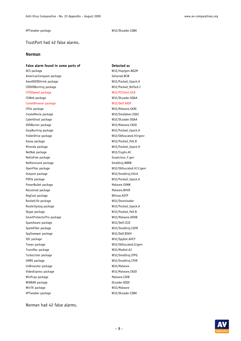#### XPTweaker package W32/DLoader.CQBK

#### TrustPort had 42 false alarms.

#### **Norman**

#### False alarm found in some parts of **Detected as**

ACS package W32/Hupigon.BQJM AmericanConquest package Sohanad.BCW AmoKDVDShrink package W32/Packed\_Upack.A CDDVDBurning package W32/Packed\_NsPack.I CFOSSpeed package W32/PCClient.GCB CGWeb package W32/DLoader.0QAA CometBrowser package W32/Delf.AXSP CPUz package W32/Malware.GKXE CreateMovie package W32/Smalldoor.EQXJ CyberGhost package W32/DLoader.0QAA DVDBurner package W32/Malware.CNJD EasyBurning package W32/Packed\_Upack.A FolderDrive package W32/Obfuscated.H3!genr Kazaa package W32/Packed\_PeX.B Miranda package W32/Packed\_Upack.H NetNak package W32/Crypto.AC NokiaFree package Suspicious\_F.gen NoMansLand package Smalltroi.NBRB OpenFiles package W32/Obfuscated.H11!genr Outpost package W32/Smalltroj.EHLA PDFtk package W32/Packed\_Upack.A PowerBullet package Malware.EVNW Recolored package Malware.BHVX RegCool package and the state of the Bifrose.ASTP RocketLife package W32/Downloader RouterSyslog package W32/Packed\_Upack.A Skype package W32/Packed\_PeX.B SmartProtectorPro package W32/Malware.DEKW SpamAware package W32/Delf.CEJI SpamKiller package W32/Smalltroj.CQYR SpySweeper package W32/Delf.BSKH SSC package W32/Spybot.AHCY Towav package W32/Obfuscated.G!genr TransMac package W32/Madtol.AJ TurboLister package W32/Smalltroj.IFPQ UMRS package W32/Smalltroj.CFVR UnBrowster package W32/Malware VideoExpress package W32/Malware.CNJD WinPcap package and the Malware.CZKB WiNRAR package and the control of the DLoader.RZQX WinTK package W32/Malware XPTweaker package W32/DLoader.CQBK

Norman had 42 false alarms.

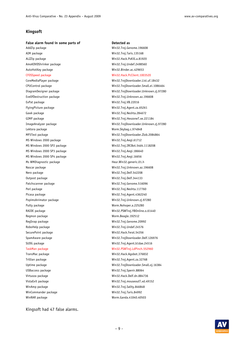### **Kingsoft**

#### False alarm found in some parts of **Detected as**

AddZip package Win32.Troj.Genome.196608 AIM package Win32.Troj.Taris.135168 ALZZip package Win32.Hack.PsKill.a.81920 AmoKDVDShrinker package Win32.Troj.Undef.2498560 AutoHotKey package Min32.Binder.ac.429653 CFOSSpeed package Win32.Hack.PcClient.1003520 ExPat package Win32.Troj.VB.22016 FlyingPicture package and the Win32.Troj.Agent.za.65261 Gawk package Win32.Troj.Neshta.284672 Lektora package Worm.Skybag.c.974848 MS Windows 2000 package Win32.Troi.Aegi.61712 MS Windows 2000 SP3 package Win32.Troj.Aegi.186640 MS Windows 2000 SP4 package Win32.Troj.Aegi.16656 Ms WMDiagnostic package  $H = 1$  Ms WMDiagnostic package Nero package Win32.Troj.Delf.542208 Outpost package and the Court of the Win32.Troj.Delf.344133 Patchscanner package Win32.Troj.Genome.516096 Perl package Win32.Troj.Neshta.117760 Picasa package Win32.Troj.Agent.4362240 Putty package **Montage Strategies and Strategies and Strategies** Worm.Nohoper.a.225280 Regmon package Worm.Beagle.192512 RegSnap package Win32.Troj.Genome.20992 RoboHelp package Win32.Troj.Undef.24576 SecurePoint package Win32.Hack.Ferat.54356 TransMac package Win32.Hack.Agobot.376832 Trillian package Win32.Troj.Agent.za.32768 USBaccess package Win32.Troj.Spenir.88064 Virtuoza package Win32.Hack.Delf.dn.884736

WinCommander package Win32.Troj.Taris.84992 WinRAR package Worm.Ganda.41040.40503

CoreMediaPlayer package Win32.TrojDownloader.List.uf.18432 CPUControl package Win32.TrojDownloader.Small.ei.1086464 DiagramDesigner package Win32.TrojDownloader.Unknown.zj.97280 EveOfDestruction package Win32.Troj.Unknown.az.196608 GIMP package GIMP package GIMP package  $W$ in32.Troj.HexzoneT.xe.221184 ImageAnalyzer package Win32.TrojDownloader.Unknown.zj.97280 MP3Test package Win32.TrojDownloader.Zlob.2084864 MS Windows 2000 SP2 package Win32.Troi.IRCBot.54d4.1118208 Nascar package Win32.Troj.Unknown.az.196608 PopimsAnimator package Win32.Troj.Unknown.zj.97280 RAIDE package and a metal controller winds are winder winds and winds PSWTroj.YBOnline.o.61440 SpamAware package Win32.TrojDownloader.Delf.126976 SUDG package Win32.Troj.Agent.b1dae.24516 TaskMan package Win32.PSWTroj.LdPinch.552960

Uptime package Win32.TrojDownloader.Small.oj.16384 VistaExit package Win32.Troj.mouseoutT.xd.49152 WinAmp package Win32.Troj.Sality.846848

Kingsoft had 47 false alarms.